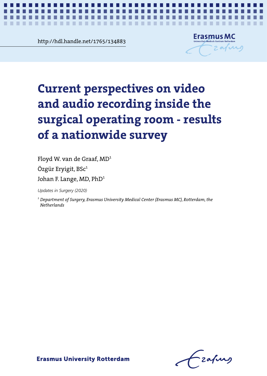**Chapter 4** http://hdl.handle.net/1765/134883



*Survey on intraoperative video and audio documentation* **1**

# and audio recording inside the recording inside the surgical operating **surgical operating room - results**  of a nationwide survey **Current perspectives on video**

Floyd W. van de Graaf, MD1

Özgür Eryigit, BSc<sup>1</sup>

Johan F. Lange, MD,  $PhD^1$ 

Özgür Eryigit, BSc<sup>1</sup> Johan F. Lange, MD, PhD<sup>1</sup> *Updates in Surgery (2020)*

*Updates in Surgery (2020) <sup>1</sup> Department of Surgery, Erasmus University Medical Center (Erasmus MC), Rotterdam, the Netherlands*

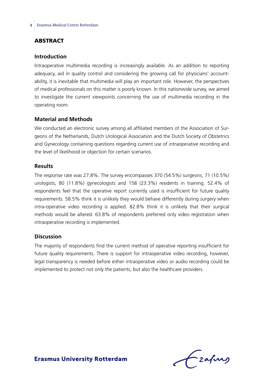## **ABSTRACT**

#### **Introduction**

Intraoperative multimedia recording is increasingly available. As an addition to reporting adequacy, aid in quality control and considering the growing call for physicians' accountability, it is inevitable that multimedia will play an important role. However, the perspectives of medical professionals on this matter is poorly known. In this nationwide survey, we aimed to investigate the current viewpoints concerning the use of multimedia recording in the operating room.

#### **Material and Methods**

We conducted an electronic survey among all affiliated members of the Association of Surgeons of the Netherlands, Dutch Urological Association and the Dutch Society of Obstetrics and Gynecology containing questions regarding current use of intraoperative recording and the level of likelihood or objection for certain scenarios.

#### **Results**

The response rate was 27.8%. The survey encompasses 370 (54.5%) surgeons, 71 (10.5%) urologists, 80 (11.8%) gynecologists and 158 (23.3%) residents in training. 52.4% of respondents feel that the operative report currently used is insufficient for future quality requirements. 58.5% think it is unlikely they would behave differently during surgery when intra-operative video recording is applied. 82.8% think it is unlikely that their surgical methods would be altered. 63.8% of respondents preferred only video registration when intraoperative recording is implemented.

### **Discussion**

The majority of respondents find the current method of operative reporting insufficient for future quality requirements. There is support for intraoperative video recording, however, legal transparency is needed before either intraoperative video or audio recording could be implemented to protect not only the patients, but also the healthcare providers.

Frafing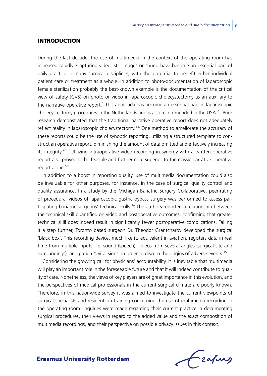#### **INTRODUCTION**

During the last decade, the use of multimedia in the context of the operating room has increased rapidly. Capturing video, still images or sound have become an essential part of daily practice in many surgical disciplines, with the potential to benefit either individual patient care or treatment as a whole. In addition to photo-documentation of laparoscopic female sterilization probably the best-known example is the documentation of the critical view of safety (CVS) on photo or video in laparoscopic cholecystectomy as an auxiliary to the narrative operative report.<sup>1</sup> This approach has become an essential part in laparoscopic cholecystectomy procedures in the Netherlands and is also recommended in the USA.<sup>2,3</sup> Prior research demonstrated that the traditional narrative operative report does not adequately reflect reality in laparoscopic cholecystectomy. $4-6$  One method to ameliorate the accuracy of these reports could be the use of synoptic reporting, utilizing a structured template to construct an operative report, diminishing the amount of data omitted and effectively increasing its integrity.7-13 Utilizing intraoperative video recording in synergy with a written operative report also proved to be feasible and furthermore superior to the classic narrative operative report alone.<sup>5,6</sup>

In addition to a boost in reporting quality, use of multimedia documentation could also be invaluable for other purposes, for instance, in the case of surgical quality control and quality assurance. In a study by the Michigan Bariatric Surgery Collaborative, peer-rating of procedural videos of laparoscopic gastric bypass surgery was performed to assess participating bariatric surgeons' technical skills.<sup>14</sup> The authors reported a relationship between the technical skill quantified on video and postoperative outcomes, confirming that greater technical skill does indeed result in significantly fewer postoperative complications. Taking it a step further, Toronto based surgeon Dr. Theodor Grantcharov developed the surgical 'black box'. This recording device, much like its equivalent in aviation, registers data in real time from multiple inputs, i.e. sound (speech), videos from several angles (surgical site and surroundings), and patient's vital signs, in order to discern the origins of adverse events.<sup>15</sup>

Considering the growing call for physicians' accountability, it is inevitable that multimedia will play an important role in the foreseeable future and that it will indeed contribute to quality of care. Nonetheless, the views of key players are of great importance in this evolution, and the perspectives of medical professionals in the current surgical climate are poorly known. Therefore, in this nationwide survey it was aimed to investigate the current viewpoints of surgical specialists and residents in training concerning the use of multimedia recording in the operating room. Inquiries were made regarding their current practice in documenting surgical procedures, their views in regard to the added value and the exact composition of multimedia recordings, and their perspective on possible privacy issues in this context.

fzafung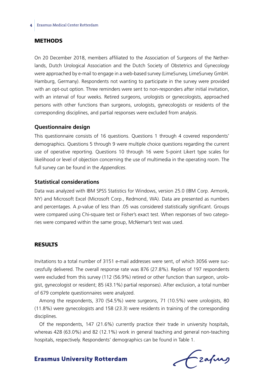# **METHODS**

On 20 December 2018, members affiliated to the Association of Surgeons of the Netherlands, Dutch Urological Association and the Dutch Society of Obstetrics and Gynecology were approached by e-mail to engage in a web-based survey (LimeSurvey, LimeSurvey GmbH. Hamburg, Germany). Respondents not wanting to participate in the survey were provided with an opt-out option. Three reminders were sent to non-responders after initial invitation, with an interval of four weeks. Retired surgeons, urologists or gynecologists, approached persons with other functions than surgeons, urologists, gynecologists or residents of the corresponding disciplines, and partial responses were excluded from analysis.

#### **Questionnaire design**

This questionnaire consists of 16 questions. Questions 1 through 4 covered respondents' demographics. Questions 5 through 9 were multiple choice questions regarding the current use of operative reporting. Questions 10 through 16 were 5-point Likert type scales for likelihood or level of objection concerning the use of multimedia in the operating room. The full survey can be found in the *Appendices*.

## **Statistical considerations**

Data was analyzed with IBM SPSS Statistics for Windows, version 25.0 (IBM Corp. Armonk, NY) and Microsoft Excel (Microsoft Corp., Redmond, WA). Data are presented as numbers and percentages. A *p*-value of less than .05 was considered statistically significant. Groups were compared using Chi-square test or Fisher's exact test. When responses of two categories were compared within the same group, McNemar's test was used.

# Results

Invitations to a total number of 3151 e-mail addresses were sent, of which 3056 were successfully delivered. The overall response rate was 876 (27.8%). Replies of 197 respondents were excluded from this survey (112 (56.9%) retired or other function than surgeon, urologist, gynecologist or resident; 85 (43.1%) partial responses). After exclusion, a total number of 679 complete questionnaires were analyzed.

Among the respondents, 370 (54.5%) were surgeons, 71 (10.5%) were urologists, 80 (11.8%) were gynecologists and 158 (23.3) were residents in training of the corresponding disciplines.

Of the respondents, 147 (21.6%) currently practice their trade in university hospitals, whereas 428 (63.0%) and 82 (12.1%) work in general teaching and general non-teaching hospitals, respectively. Respondents' demographics can be found in Table 1.

frafing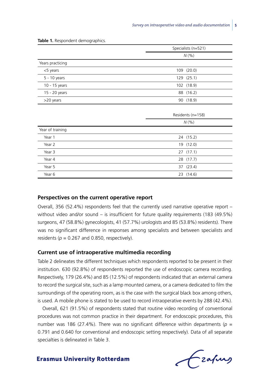|                  | Specialists (n=521) |  |  |  |  |
|------------------|---------------------|--|--|--|--|
|                  | $N(\% )$            |  |  |  |  |
| Years practicing |                     |  |  |  |  |
| <5 years         | 109 (20.0)          |  |  |  |  |
| 5 - 10 years     | 129 (25.1)          |  |  |  |  |
| 10 - 15 years    | 102 (18.9)          |  |  |  |  |
| 15 - 20 years    | 88 (16.2)           |  |  |  |  |
| >20 years        | 90 (18.9)           |  |  |  |  |
|                  |                     |  |  |  |  |
|                  | Residents (n=158)   |  |  |  |  |
|                  | $N(\% )$            |  |  |  |  |
|                  |                     |  |  |  |  |
| Year of training |                     |  |  |  |  |
| Year 1           | 24 (15.2)           |  |  |  |  |
| Year 2           | 19 (12.0)           |  |  |  |  |
| Year 3           | 27(17.1)            |  |  |  |  |
| Year 4           | 28 (17.7)           |  |  |  |  |
| Year 5           | 37 (23.4)           |  |  |  |  |
| Year 6           | 23 (14.6)           |  |  |  |  |

**Table 1.** Respondent demographics.

#### **Perspectives on the current operative report**

Overall, 356 (52.4%) respondents feel that the currently used narrative operative report – without video and/or sound – is insufficient for future quality requirements (183 (49.5%) surgeons, 47 (58.8%) gynecologists, 41 (57.7%) urologists and 85 (53.8%) residents). There was no significant difference in responses among specialists and between specialists and residents ( $p = 0.267$  and 0.850, respectively).

#### **Current use of intraoperative multimedia recording**

Table 2 delineates the different techniques which respondents reported to be present in their institution. 630 (92.8%) of respondents reported the use of endoscopic camera recording. Respectively, 179 (26.4%) and 85 (12.5%) of respondents indicated that an external camera to record the surgical site, such as a lamp mounted camera, or a camera dedicated to film the surroundings of the operating room, as is the case with the surgical black box among others, is used. A mobile phone is stated to be used to record intraoperative events by 288 (42.4%).

Overall, 621 (91.5%) of respondents stated that routine video recording of conventional procedures was not common practice in their department. For endoscopic procedures, this number was 186 (27.4%). There was no significant difference within departments ( $p =$ 0.791 and 0.640 for conventional and endoscopic setting respectively). Data of all separate specialties is delineated in Table 3.

Frafing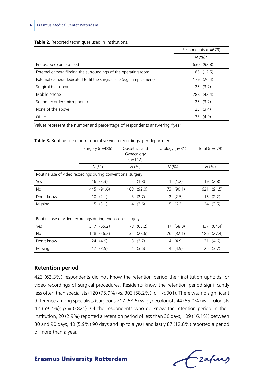#### **Table 2.** Reported techniques used in institutions.

|                                                                       | Respondents (n=679) |
|-----------------------------------------------------------------------|---------------------|
|                                                                       | $N(%^{\star})$ *    |
| Endoscopic camera feed                                                | 630 (92.8)          |
| External camera filming the surroundings of the operating room        | 85 (12.5)           |
| External camera dedicated to fil the surgical site (e.g. lamp camera) | 179 (26.4)          |
| Surgical black box                                                    | 25(3.7)             |
| Mobile phone                                                          | 288 (42.4)          |
| Sound recorder (microphone)                                           | 25(3.7)             |
| None of the above                                                     | 23(3.4)             |
| Other                                                                 | (4.9)<br>33         |

Values represent the number and percentage of respondents answering "yes"

|                                                             |     | Surgery (n=486) |          | Obstetrics and<br>Gynecology<br>$(n=112)$ |          | Urology $(n=81)$ | Total (n=679) |            |  |
|-------------------------------------------------------------|-----|-----------------|----------|-------------------------------------------|----------|------------------|---------------|------------|--|
|                                                             | N(% |                 | $N(\% )$ |                                           | $N(\% )$ |                  |               | $N(\% )$   |  |
| Routine use of video recordings during conventional surgery |     |                 |          |                                           |          |                  |               |            |  |
| Yes                                                         |     | 16(3.3)         |          | 2(1.8)                                    |          | 1(1.2)           |               | 19 (2.8)   |  |
| No.                                                         |     | 445 (91.6)      |          | 103 (92.0)                                |          | 73 (90.1)        |               | 621 (91.5) |  |
| Don't know                                                  |     | 10(2.1)         |          | 3(2.7)                                    |          | 2(2.5)           |               | 15(2.2)    |  |
| Missing                                                     |     | 15(3.1)         |          | 4(3.6)                                    |          | 5(6.2)           |               | 24 (3.5)   |  |
|                                                             |     |                 |          |                                           |          |                  |               |            |  |
| Routine use of video recordings during endoscopic surgery   |     |                 |          |                                           |          |                  |               |            |  |
| Yes                                                         |     | 317 (65.2)      |          | 73 (65.2)                                 |          | 47 (58.0)        |               | 437 (64.4) |  |
| No.                                                         |     | 128 (26.3)      |          | 32 (28.6)                                 |          | 26 (32.1)        |               | 186 (27.4) |  |
| Don't know                                                  |     | 24 (4.9)        |          | 3(2.7)                                    |          | 4(4.9)           |               | 31(4.6)    |  |
| Missing                                                     | 17  | (3.5)           | 4        | (3.6)                                     |          | 4(4.9)           |               | 25(3.7)    |  |

#### **Table 3.** Routine use of intra-operative video recordings, per department.

#### **Retention period**

423 (62.3%) respondents did not know the retention period their institution upholds for video recordings of surgical procedures. Residents know the retention period significantly less often than specialists (120 (75.9%) vs. 303 (58.2%); *p* = <.001). There was no significant difference among specialists (surgeons 217 (58.6) vs. gynecologists 44 (55.0%) vs. urologists 42 (59.2%);  $p = 0.821$ ). Of the respondents who do know the retention period in their institution, 20 (2.9%) reported a retention period of less than 30 days, 109 (16.1%) between 30 and 90 days, 40 (5.9%) 90 days and up to a year and lastly 87 (12.8%) reported a period of more than a year.

Frahing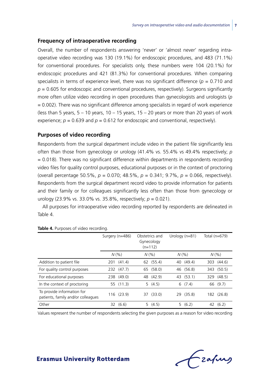#### **Frequency of intraoperative recording**

Overall, the number of respondents answering 'never' or 'almost never' regarding intraoperative video recording was 130 (19.1%) for endoscopic procedures, and 483 (71.1%) for conventional procedures. For specialists only, these numbers were 104 (20.1%) for endoscopic procedures and 421 (81.3%) for conventional procedures. When comparing specialists in terms of experience level, there was no significant difference ( $p = 0.710$  and  $p = 0.605$  for endoscopic and conventional procedures, respectively). Surgeons significantly more often utilize video recording in open procedures than gynecologists and urologists (*p*  $= 0.002$ ). There was no significant difference among specialists in regard of work experience (less than 5 years,  $5 - 10$  years,  $10 - 15$  years,  $15 - 20$  years or more than 20 years of work experience;  $p = 0.639$  and  $p = 0.612$  for endoscopic and conventional, respectively).

#### **Purposes of video recording**

Respondents from the surgical department include video in the patient file significantly less often than those from gynecology or urology (41.4% vs. 55.4% vs 49.4% respectively; *p* = 0.018). There was no significant difference within departments in respondents recording video files for quality control purposes, educational purposes or in the context of proctoring (overall percentage 50.5%, *p* = 0.070; 48.5%, *p* = 0.341; 9.7%, *p* = 0.066, respectively). Respondents from the surgical department record video to provide information for patients and their family or for colleagues significantly less often than those from gynecology or urology (23.9% vs. 33.0% vs. 35.8%, respectively; *p* = 0.021).

All purposes for intraoperative video recording reported by respondents are delineated in Table 4.

|                                                                  | Surgery (n=486) | Obstetrics and<br>Gynecology<br>$(n=112)$ | Urology $(n=81)$ | Total (n=679) |  |
|------------------------------------------------------------------|-----------------|-------------------------------------------|------------------|---------------|--|
|                                                                  | $N(\% )$        | $N(\% )$                                  | N(% )            | $N(\% )$      |  |
| Addition to patient file                                         | 201 (41.4)      | 62 (55.4)                                 | (49.4)<br>40     | 303 (44.6)    |  |
| For quality control purposes                                     | 232 (47.7)      | 65 (58.0)                                 | 46 (56.8)        | 343 (50.5)    |  |
| For educational purposes                                         | 238 (49.0)      | 48 (42.9)                                 | (53.1)<br>43     | 329 (48.5)    |  |
| In the context of proctoring                                     | 55 (11.3)       | 5(4.5)                                    | 6(7.4)           | 66 (9.7)      |  |
| To provide information for<br>patients, family and/or colleagues | 116 (23.9)      | 37 (33.0)                                 | 29 (35.8)        | 182 (26.8)    |  |
| Other                                                            | 32 (6.6)        | 5(4.5)                                    | 5(6.2)           | (6.2)<br>42   |  |

#### **Table 4.** Purposes of video recording.

Values represent the number of respondents selecting the given purposes as a reason for video recording

Czapurs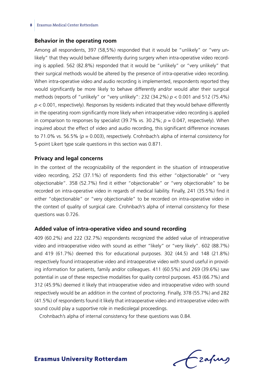#### **Behavior in the operating room**

Among all respondents, 397 (58,5%) responded that it would be "unlikely" or "very unlikely" that they would behave differently during surgery when intra-operative video recording is applied. 562 (82.8%) responded that it would be "unlikely" or "very unlikely" that their surgical methods would be altered by the presence of intra-operative video recording. When intra-operative video *and* audio recording is implemented, respondents reported they would significantly be more likely to behave differently and/or would alter their surgical methods (reports of "unlikely" or "very unlikely": 232 (34.2%) *p* < 0.001 and 512 (75.4%) *p* < 0.001, respectively). Responses by residents indicated that they would behave differently in the operating room significantly more likely when intraoperative video recording is applied in comparison to responses by specialist (39.7% vs. 30.2%; *p* = 0.047, respectively). When inquired about the effect of video and audio recording, this significant difference increases to 71.0% vs. 56.5% (*p* = 0.003), respectively. Crohnbach's alpha of internal consistency for 5-point Likert type scale questions in this section was 0.871.

# **Privacy and legal concerns**

In the context of the recognizability of the respondent in the situation of intraoperative video recording, 252 (37.1%) of respondents find this either "objectionable" or "very objectionable". 358 (52.7%) find it either "objectionable" or "very objectionable" to be recorded on intra-operative video in regards of medical liability. Finally, 241 (35.5%) find it either "objectionable" or "very objectionable" to be recorded on intra-operative video in the context of quality of surgical care. Crohnbach's alpha of internal consistency for these questions was 0.726.

#### **Added value of intra-operative video and sound recording**

409 (60.2%) and 222 (32.7%) respondents recognized the added value of intraoperative video and intraoperative video with sound as either "likely" or "very likely". 602 (88.7%) and 419 (61.7%) deemed this for educational purposes. 302 (44.5) and 148 (21.8%) respectively found intraoperative video and intraoperative video with sound useful in providing information for patients, family and/or colleagues. 411 (60.5%) and 269 (39.6%) saw potential in use of these respective modalities for quality control purposes. 453 (66.7%) and 312 (45.9%) deemed it likely that intraoperative video and intraoperative video with sound respectively would be an addition in the context of proctoring. Finally, 378 (55.7%) and 282 (41.5%) of respondents found it likely that intraoperative video and intraoperative video with sound could play a supportive role in medicolegal proceedings.

Crohnbach's alpha of internal consistency for these questions was 0.84.

frafing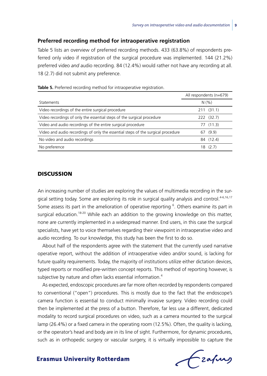#### **Preferred recording method for intraoperative registration**

Table 5 lists an overview of preferred recording methods. 433 (63.8%) of respondents preferred only video if registration of the surgical procedure was implemented. 144 (21.2%) preferred video *and* audio recording. 84 (12.4%) would rather not have any recording at all. 18 (2.7) did not submit any preference.

|                                                                                  | All respondents (n=679) |
|----------------------------------------------------------------------------------|-------------------------|
| <b>Statements</b>                                                                | N(% )                   |
| Video recordings of the entire surgical procedure                                | 211 (31.1)              |
| Video recordings of only the essential steps of the surgical procedure           | 222 (32.7)              |
| Video and audio recordings of the entire surgical procedure                      | 77 (11.3)               |
| Video and audio recordings of only the essential steps of the surgical procedure | 67 (9.9)                |
| No video and audio recordings                                                    | 84 (12.4)               |
| No preference                                                                    | (2.7)<br>18             |

#### **Table 5.** Preferred recording method for intraoperative registration.

# **DISCUSSION**

An increasing number of studies are exploring the values of multimedia recording in the surgical setting today. Some are exploring its role in surgical quality analysis and control.<sup>4-6,16,17</sup> Some assess its part in the amelioration of operative reporting  $6$ . Others examine its part in surgical education.<sup>18-20</sup> While each an addition to the growing knowledge on this matter, none are currently implemented in a widespread manner. End users, in this case the surgical specialists, have yet to voice themselves regarding their viewpoint in intraoperative video and audio recording. To our knowledge, this study has been the first to do so.

About half of the respondents agree with the statement that the currently used narrative operative report, without the addition of intraoperative video and/or sound, is lacking for future quality requirements. Today, the majority of institutions utilize either dictation devices, typed reports or modified pre-written concept reports. This method of reporting however, is subjective by nature and often lacks essential information.<sup>4</sup>

As expected, endoscopic procedures are far more often recorded by respondents compared to conventional ("open") procedures. This is mostly due to the fact that the endoscope's camera function is essential to conduct minimally invasive surgery. Video recording could then be implemented at the press of a button. Therefore, far less use a different, dedicated modality to record surgical procedures on video, such as a camera mounted to the surgical lamp (26.4%) or a fixed camera in the operating room (12.5%). Often, the quality is lacking, or the operator's head and body are in its line of sight. Furthermore, for dynamic procedures, such as in orthopedic surgery or vascular surgery, it is virtually impossible to capture the

Czafing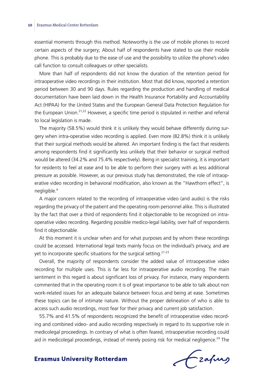essential moments through this method. Noteworthy is the use of mobile phones to record certain aspects of the surgery; About half of respondents have stated to use their mobile phone. This is probably due to the ease of use and the possibility to utilize the phone's video call function to consult colleagues or other specialists.

More than half of respondents did not know the duration of the retention period for intraoperative video recordings in their institution. Most that did know, reported a retention period between 30 and 90 days. Rules regarding the production and handling of medical documentation have been laid down in the Health Insurance Portability and Accountability Act (HIPAA) for the United States and the European General Data Protection Regulation for the European Union.<sup>21,22</sup> However, a specific time period is stipulated in neither and referral to local legislation is made.

The majority (58.5%) would think it is unlikely they would behave differently during surgery when intra-operative video recording is applied. Even more (82.8%) think it is unlikely that their surgical methods would be altered. An important finding is the fact that residents among respondents find it significantly less unlikely that their behavior or surgical method would be altered (34.2% and 75.4% respectively). Being in specialist training, it is important for residents to feel at ease and to be able to perform their surgery with as less additional pressure as possible. However, as our previous study has demonstrated, the role of intraoperative video recording in behavioral modification, also known as the "Hawthorn effect", is negligible.<sup>6</sup>

A major concern related to the recording of intraoperative video (and audio) is the risks regarding the privacy of the patient and the operating room personnel alike. This is illustrated by the fact that over a third of respondents find it objectionable to be recognized on intraoperative video recording. Regarding possible medico-legal liability, over half of respondents find it objectionable.

At this moment it is unclear when and for what purposes and by whom these recordings could be accessed. International legal texts mainly focus on the individual's privacy, and are yet to incorporate specific situations for the surgical setting. $21-23$ 

Overall, the majority of respondents consider the added value of intraoperative video recording for multiple uses. This is far less for intraoperative audio recording. The main sentiment in this regard is about significant loss of privacy. For instance, many respondents commented that in the operating room it is of great importance to be able to talk about non work-related issues for an adequate balance between focus and being at ease. Sometimes these topics can be of intimate nature. Without the proper delineation of who is able to access such audio recordings, most fear for their privacy and current job satisfaction.

55.7% and 41.5% of respondents recognized the benefit of intraoperative video recording and combined video- and audio recording respectively in regard to its supportive role in medicolegal proceedings. In contrary of what is often feared, intraoperative recording could aid in medicolegal proceedings, instead of merely posing risk for medical negligence.<sup>24</sup> The

frafing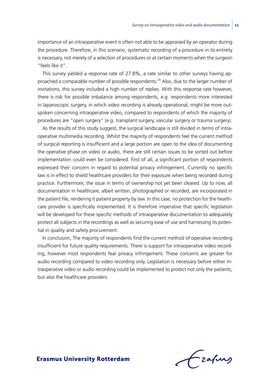importance of an intraoperative event is often not able to be appraised by an operator during the procedure. Therefore, in this scenario, systematic recording of a procedure in its entirety is necessary, not merely of a selection of procedures or at certain moments when the surgeon "feels like it".

This survey yielded a response rate of 27.8%, a rate similar to other surveys having approached a comparable number of possible respondents.<sup>25</sup> Also, due to the larger number of invitations, this survey included a high number of replies. With this response rate however, there is risk for possible imbalance among respondents, e.g. respondents more interested in laparoscopic surgery, in which video recording is already operational, might be more outspoken concerning intraoperative video, compared to respondents of which the majority of procedures are "open surgery" (e.g. transplant surgery, vascular surgery or trauma surgery).

As the results of this study suggest, the surgical landscape is still divided in terms of intraoperative multimedia recording. Whilst the majority of respondents feel the current method of surgical reporting is insufficient and a large portion are open to the idea of documenting the operative phase on video or audio, there are still certain issues to be sorted out before implementation could even be considered. First of all, a significant portion of respondents expressed their concern in regard to potential privacy infringement. Currently no specific law is in effect to shield healthcare providers for their exposure when being recorded during practice. Furthermore, the issue in terms of ownership not yet been cleared. Up to now, all documentation in healthcare, albeit written, photographed or recorded, are incorporated in the patient file, rendering it patient property by law. In this case, no protection for the healthcare provider is specifically implemented. It is therefore imperative that specific legislation will be developed for these specific methods of intraoperative documentation to adequately protect all subjects in the recordings as well as securing ease of use and harnessing its potential in quality and safety procurement.

In conclusion, The majority of respondents find the current method of operative recording insufficient for future quality requirements. There is support for intraoperative video recording, however most respondents fear privacy infringement. These concerns are greater for audio recording compared to video recording only. Legislation is necessary before either intraoperative video or audio recording could be implemented to protect not only the patients, but also the healthcare providers.

Lzafurs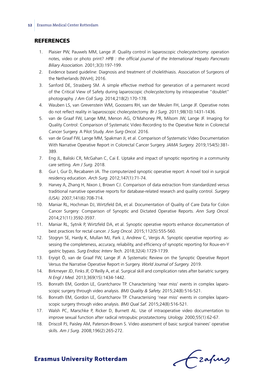#### **REFERENCES**

- 1. Plaisier PW, Pauwels MM, Lange JF. Quality control in laparoscopic cholecystectomy: operation notes, video or photo print? *HPB : the official journal of the International Hepato Pancreato Biliary Association.* 2001;3(3):197-199.
- 2. Evidence based guideline: Diagnosis and treatment of cholelithiasis. Association of Surgeons of the Netherlands (NVvH); 2016.
- 3. Sanford DE, Strasberg SM. A simple effective method for generation of a permanent record of the Critical View of Safety during laparoscopic cholecystectomy by intraoperative "doublet" photography. *J Am Coll Surg.* 2014;218(2):170-178.
- 4. Wauben LS, van Grevenstein WM, Goossens RH, van der Meulen FH, Lange JF. Operative notes do not reflect reality in laparoscopic cholecystectomy. *Br J Surg.* 2011;98(10):1431-1436.
- 5. van de Graaf FW, Lange MM, Menon AG, O'Mahoney PR, Milsom JW, Lange JF. Imaging for Quality Control: Comparison of Systematic Video Recording to the Operative Note in Colorectal Cancer Surgery. A Pilot Study. *Ann Surg Oncol.* 2016.
- 6. van de Graaf FW, Lange MM, Spakman JI, et al. Comparison of Systematic Video Documentation With Narrative Operative Report in Colorectal Cancer Surgery. *JAMA Surgery.* 2019;154(5):381- 389.
- 7. Eng JL, Baliski CR, McGahan C, Cai E. Uptake and impact of synoptic reporting in a community care setting. *Am J Surg.* 2018.
- 8. Gur I, Gur D, Recabaren JA. The computerized synoptic operative report: A novel tool in surgical residency education. *Arch Surg.* 2012;147(1):71-74.
- 9. Harvey A, Zhang H, Nixon J, Brown CJ. Comparison of data extraction from standardized versus traditional narrative operative reports for database-related research and quality control. *Surgery (USA).* 2007;141(6):708-714.
- 10. Maniar RL, Hochman DJ, Wirtzfeld DA, et al. Documentation of Quality of Care Data for Colon Cancer Surgery: Comparison of Synoptic and Dictated Operative Reports. *Ann Surg Oncol.* 2014;21(11):3592-3597.
- 11. Maniar RL, Sytnik P, Wirtzfeld DA, et al. Synoptic operative reports enhance documentation of best practices for rectal cancer. *J Surg Oncol.* 2015;112(5):555-560.
- 12. Stogryn SE, Hardy K, Mullan MJ, Park J, Andrew C, Vergis A. Synoptic operative reporting: assessing the completeness, accuracy, reliability, and efficiency of synoptic reporting for Roux-en-Y gastric bypass. *Surg Endosc Interv Tech.* 2018;32(4):1729-1739.
- 13. Eryigit Ö, van de Graaf FW, Lange JF. A Systematic Review on the Synoptic Operative Report Versus the Narrative Operative Report in Surgery. *World Journal of Surgery.* 2019.
- 14. Birkmeyer JD, Finks JF, O'Reilly A, et al. Surgical skill and complication rates after bariatric surgery. *N Engl J Med.* 2013;369(15):1434-1442.
- 15. Bonrath EM, Gordon LE, Grantcharov TP. Characterising 'near miss' events in complex laparoscopic surgery through video analysis. *BMJ Quality & Safety.* 2015;24(8):516-521.
- 16. Bonrath EM, Gordon LE, Grantcharov TP. Characterising 'near miss' events in complex laparoscopic surgery through video analysis. *BMJ Qual Saf.* 2015;24(8):516-521.
- 17. Walsh PC, Marschke P, Ricker D, Burnett AL. Use of intraoperative video documentation to improve sexual function after radical retropubic prostatectomy. *Urology.* 2000;55(1):62-67.
- 18. Driscoll PJ, Paisley AM, Paterson-Brown S. Video assessment of basic surgical trainees' operative skills. *Am J Surg.* 2008;196(2):265-272.

Czafung